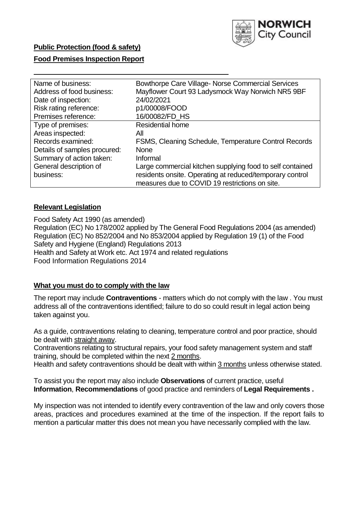

# **Public Protection (food & safety)**

## **Food Premises Inspection Report**

| Name of business:            | Bowthorpe Care Village- Norse Commercial Services         |
|------------------------------|-----------------------------------------------------------|
| Address of food business:    | Mayflower Court 93 Ladysmock Way Norwich NR5 9BF          |
| Date of inspection:          | 24/02/2021                                                |
| Risk rating reference:       | p1/00008/FOOD                                             |
| Premises reference:          | 16/00082/FD_HS                                            |
| Type of premises:            | <b>Residential home</b>                                   |
| Areas inspected:             | All                                                       |
| Records examined:            | FSMS, Cleaning Schedule, Temperature Control Records      |
| Details of samples procured: | <b>None</b>                                               |
| Summary of action taken:     | Informal                                                  |
| General description of       | Large commercial kitchen supplying food to self contained |
| business:                    | residents onsite. Operating at reduced/temporary control  |
|                              | measures due to COVID 19 restrictions on site.            |

## **Relevant Legislation**

 Food Safety Act 1990 (as amended) Regulation (EC) No 178/2002 applied by The General Food Regulations 2004 (as amended) Regulation (EC) No 852/2004 and No 853/2004 applied by Regulation 19 (1) of the Food Safety and Hygiene (England) Regulations 2013 Health and Safety at Work etc. Act 1974 and related regulations Food Information Regulations 2014

## **What you must do to comply with the law**

 The report may include **Contraventions** - matters which do not comply with the law . You must address all of the contraventions identified; failure to do so could result in legal action being taken against you.

 As a guide, contraventions relating to cleaning, temperature control and poor practice, should be dealt with straight away.

 Contraventions relating to structural repairs, your food safety management system and staff training, should be completed within the next 2 months.

Health and safety contraventions should be dealt with within 3 months unless otherwise stated.

 To assist you the report may also include **Observations** of current practice, useful **Information**, **Recommendations** of good practice and reminders of **Legal Requirements .** 

 My inspection was not intended to identify every contravention of the law and only covers those areas, practices and procedures examined at the time of the inspection. If the report fails to mention a particular matter this does not mean you have necessarily complied with the law.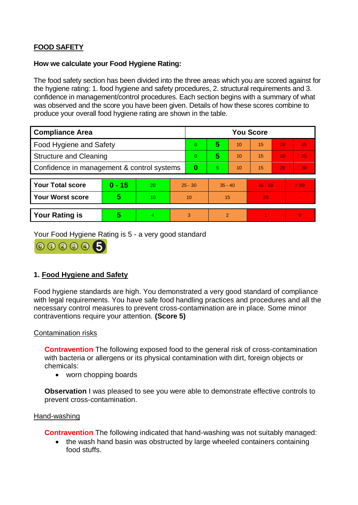# **FOOD SAFETY**

## **How we calculate your Food Hygiene Rating:**

 The food safety section has been divided into the three areas which you are scored against for the hygiene rating: 1. food hygiene and safety procedures, 2. structural requirements and 3. confidence in management/control procedures. Each section begins with a summary of what was observed and the score you have been given. Details of how these scores combine to produce your overall food hygiene rating are shown in the table.

| <b>Compliance Area</b>                     |          |           |                | <b>You Score</b> |           |    |           |    |                |  |  |
|--------------------------------------------|----------|-----------|----------------|------------------|-----------|----|-----------|----|----------------|--|--|
| Food Hygiene and Safety                    |          |           | $\overline{0}$ | 5                | 10        | 15 | 20        | 25 |                |  |  |
| <b>Structure and Cleaning</b>              |          |           | $\Omega$       | 5                | 10        | 15 | 20        | 25 |                |  |  |
| Confidence in management & control systems |          |           | $\bf{0}$       | 5                | 10        | 15 | 20        | 30 |                |  |  |
|                                            |          |           |                |                  |           |    |           |    |                |  |  |
| <b>Your Total score</b>                    | $0 - 15$ | <b>20</b> | $25 - 30$      |                  | $35 - 40$ |    | $45 - 50$ |    | > 50           |  |  |
| <b>Your Worst score</b>                    | 5        | 10        | 10             |                  | 15        |    | 20        |    | $\blacksquare$ |  |  |
|                                            |          |           |                |                  |           |    |           |    |                |  |  |
| <b>Your Rating is</b>                      | 5        | 4.        | 3              |                  | 2         |    |           |    | $\overline{0}$ |  |  |

Your Food Hygiene Rating is 5 - a very good standard



# **1. Food Hygiene and Safety**

 with legal requirements. You have safe food handling practices and procedures and all the Food hygiene standards are high. You demonstrated a very good standard of compliance necessary control measures to prevent cross-contamination are in place. Some minor contraventions require your attention. **(Score 5)** 

#### Contamination risks

 with bacteria or allergens or its physical contamination with dirt, foreign objects or **Contravention** The following exposed food to the general risk of cross-contamination chemicals:

• worn chopping boards

**Observation** I was pleased to see you were able to demonstrate effective controls to prevent cross-contamination.

#### Hand-washing

**Contravention** The following indicated that hand-washing was not suitably managed:

• the wash hand basin was obstructed by large wheeled containers containing food stuffs.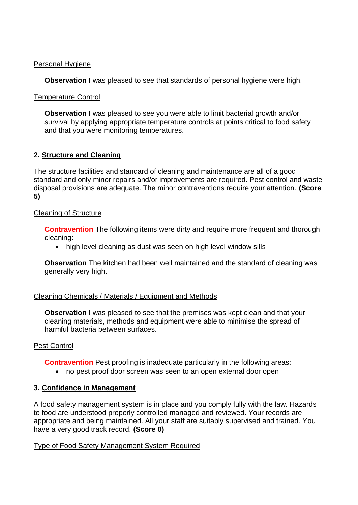#### Personal Hygiene

**Observation** I was pleased to see that standards of personal hygiene were high.

## Temperature Control

 **Observation** I was pleased to see you were able to limit bacterial growth and/or survival by applying appropriate temperature controls at points critical to food safety and that you were monitoring temperatures.

# **2. Structure and Cleaning**

The structure facilities and standard of cleaning and maintenance are all of a good standard and only minor repairs and/or improvements are required. Pest control and waste disposal provisions are adequate. The minor contraventions require your attention. **(Score 5)** 

## Cleaning of Structure

**Contravention** The following items were dirty and require more frequent and thorough cleaning:

• high level cleaning as dust was seen on high level window sills

**Observation** The kitchen had been well maintained and the standard of cleaning was generally very high.

## Cleaning Chemicals / Materials / Equipment and Methods

**Observation** I was pleased to see that the premises was kept clean and that your cleaning materials, methods and equipment were able to minimise the spread of harmful bacteria between surfaces.

# Pest Control

**Contravention** Pest proofing is inadequate particularly in the following areas:

no pest proof door screen was seen to an open external door open

## **3. Confidence in Management**

A food safety management system is in place and you comply fully with the law. Hazards to food are understood properly controlled managed and reviewed. Your records are appropriate and being maintained. All your staff are suitably supervised and trained. You have a very good track record. **(Score 0)** 

## Type of Food Safety Management System Required